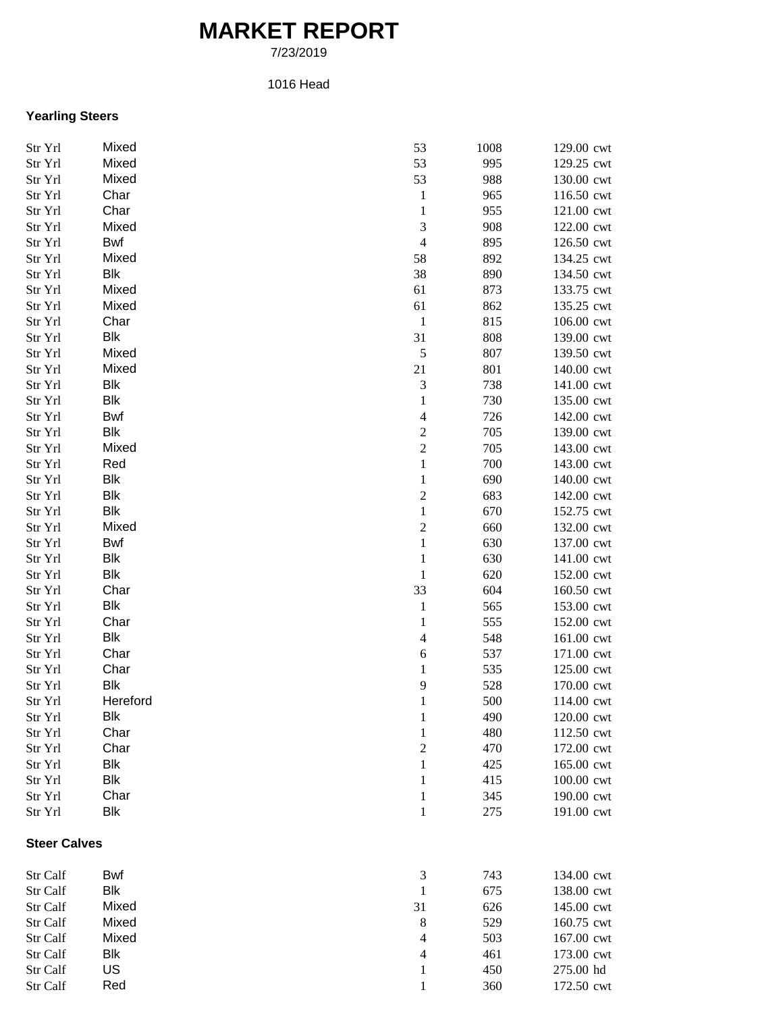## **MARKET REPORT**

7/23/2019

## 1016 Head

## **Yearling Steers**

| Str Yrl             | Mixed      | 53                          | 1008 | 129.00 cwt |
|---------------------|------------|-----------------------------|------|------------|
| Str Yrl             | Mixed      | 53                          | 995  | 129.25 cwt |
| Str Yrl             | Mixed      | 53                          | 988  | 130.00 cwt |
| Str Yrl             | Char       | $\mathbf{1}$                | 965  | 116.50 cwt |
| Str Yrl             | Char       | $\mathbf{1}$                | 955  | 121.00 cwt |
| Str Yrl             | Mixed      | $\mathfrak{Z}$              | 908  | 122.00 cwt |
| Str Yrl             | Bwf        | $\overline{4}$              | 895  | 126.50 cwt |
| Str Yrl             | Mixed      | 58                          | 892  | 134.25 cwt |
| Str Yrl             | Blk        | 38                          | 890  | 134.50 cwt |
| Str Yrl             | Mixed      | 61                          | 873  | 133.75 cwt |
| Str Yrl             | Mixed      | 61                          | 862  | 135.25 cwt |
| Str Yrl             | Char       | $\mathbf{1}$                | 815  | 106.00 cwt |
| Str Yrl             | <b>Blk</b> | 31                          | 808  | 139.00 cwt |
| Str Yrl             | Mixed      | $\mathfrak s$               | 807  | 139.50 cwt |
| Str Yrl             | Mixed      | 21                          | 801  | 140.00 cwt |
| Str Yrl             | Blk        | $\ensuremath{\mathfrak{Z}}$ | 738  | 141.00 cwt |
| Str Yrl             | <b>Blk</b> | $\mathbf{1}$                | 730  | 135.00 cwt |
| Str Yrl             | Bwf        | $\overline{\mathcal{A}}$    | 726  | 142.00 cwt |
| Str Yrl             | Blk        | $\boldsymbol{2}$            | 705  | 139.00 cwt |
| Str Yrl             | Mixed      | $\overline{c}$              | 705  | 143.00 cwt |
| Str Yrl             | Red        | $\,1\,$                     | 700  | 143.00 cwt |
| Str Yrl             | <b>Blk</b> | $\mathbf{1}$                | 690  | 140.00 cwt |
| Str Yrl             | <b>Blk</b> | $\overline{c}$              | 683  | 142.00 cwt |
| Str Yrl             | <b>Blk</b> | $\,1$                       | 670  | 152.75 cwt |
| Str Yrl             | Mixed      | $\sqrt{2}$                  | 660  | 132.00 cwt |
| Str Yrl             | Bwf        | $\mathbf 1$                 | 630  | 137.00 cwt |
| Str Yrl             | Blk        | 1                           | 630  | 141.00 cwt |
| Str Yrl             | Blk        | 1                           | 620  | 152.00 cwt |
| Str Yrl             | Char       | 33                          | 604  | 160.50 cwt |
| Str Yrl             | <b>Blk</b> | $\mathbf{1}$                | 565  | 153.00 cwt |
| Str Yrl             | Char       | 1                           | 555  | 152.00 cwt |
| Str Yrl             | Blk        | 4                           | 548  | 161.00 cwt |
| Str Yrl             | Char       | $\boldsymbol{6}$            | 537  | 171.00 cwt |
| Str Yrl             | Char       | $\mathbf{1}$                | 535  | 125.00 cwt |
| Str Yrl             | <b>Blk</b> | 9                           | 528  | 170.00 cwt |
| Str Yrl             | Hereford   | $\mathbf{1}$                | 500  | 114.00 cwt |
| Str Yrl             | Blk        | $\mathbf{1}$                | 490  | 120.00 cwt |
| Str Yrl             | Char       | 1                           | 480  | 112.50 cwt |
| Str Yrl             | Char       | $\overline{2}$              | 470  | 172.00 cwt |
| Str Yrl             | <b>Blk</b> | 1                           | 425  | 165.00 cwt |
| Str Yrl             | <b>Blk</b> | 1                           | 415  | 100.00 cwt |
| Str Yrl             | Char       | 1                           | 345  | 190.00 cwt |
| Str Yrl             | <b>Blk</b> | 1                           | 275  | 191.00 cwt |
| <b>Steer Calves</b> |            |                             |      |            |
| Str Calf            | Bwf        | 3                           | 743  | 134.00 cwt |
| Str Calf            | Blk        | 1                           | 675  | 138.00 cwt |
| Str Calf            | Mixed      | 31                          | 626  | 145.00 cwt |
| Str Calf            | Mixed      | 8                           | 529  | 160.75 cwt |
| Str Calf            | Mixed      | 4                           | 503  | 167.00 cwt |
| Str Calf            | Blk        | 4                           | 461  | 173.00 cwt |
| Str Calf            | US         | 1                           | 450  | 275.00 hd  |
| Str Calf            | Red        | 1                           | 360  | 172.50 cwt |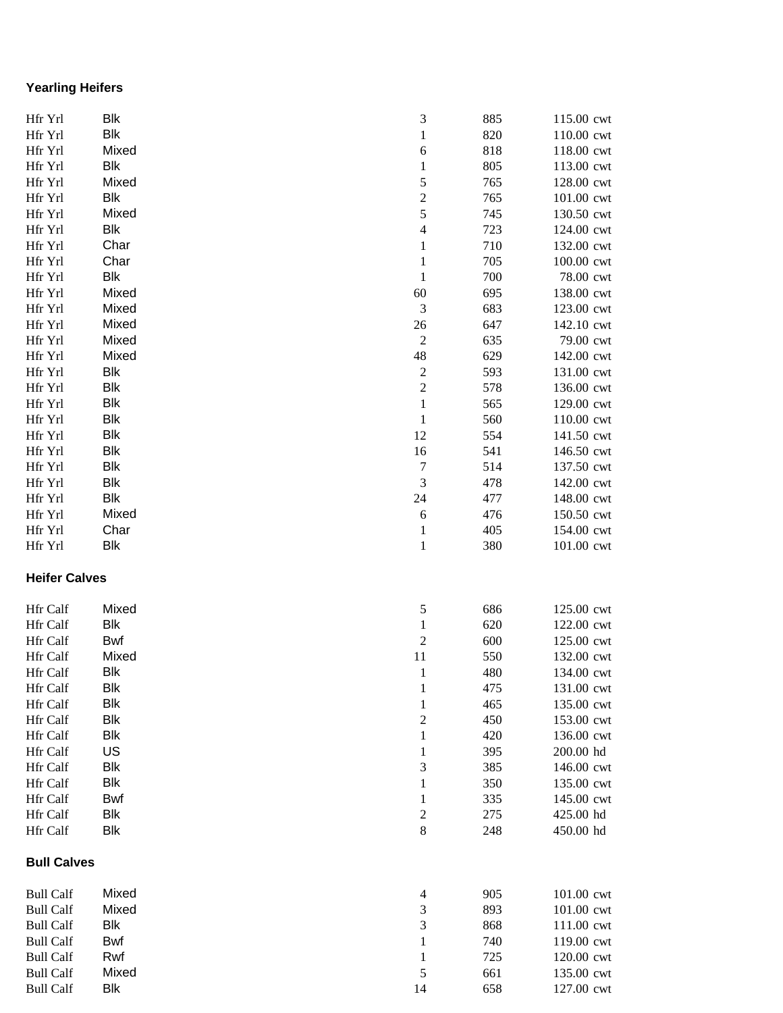## **Yearling Heifers**

| Hfr Yrl                              | Blk        | 3                                           | 885        | 115.00 cwt               |
|--------------------------------------|------------|---------------------------------------------|------------|--------------------------|
| Hfr Yrl                              | <b>Blk</b> | $\mathbf{1}$                                | 820        | 110.00 cwt               |
| Hfr Yrl                              | Mixed      | 6                                           | 818        | 118.00 cwt               |
| Hfr Yrl                              | Blk        | $\mathbf{1}$                                | 805        | 113.00 cwt               |
| Hfr Yrl                              | Mixed      | 5                                           | 765        | 128.00 cwt               |
| Hfr Yrl                              | Blk        | $\overline{\mathbf{c}}$                     | 765        | 101.00 cwt               |
| Hfr Yrl                              | Mixed      | 5                                           | 745        | 130.50 cwt               |
| Hfr Yrl                              | Blk        | $\overline{\mathbf{4}}$                     | 723        | 124.00 cwt               |
| Hfr Yrl                              | Char       | $\,1\,$                                     | 710        | 132.00 cwt               |
| Hfr Yrl                              | Char       | $\,1\,$                                     | 705        | 100.00 cwt               |
| Hfr Yrl                              | <b>Blk</b> | $\mathbf 1$                                 | 700        | 78.00 cwt                |
| Hfr Yrl                              | Mixed      | 60                                          | 695        | 138.00 cwt               |
| Hfr Yrl                              | Mixed      | $\mathfrak 3$                               | 683        | 123.00 cwt               |
| Hfr Yrl                              | Mixed      | 26                                          | 647        | 142.10 cwt               |
| Hfr Yrl                              | Mixed      | $\sqrt{2}$                                  | 635        | 79.00 cwt                |
| Hfr Yrl                              | Mixed      | 48                                          | 629        | 142.00 cwt               |
| Hfr Yrl                              | Blk        | $\boldsymbol{2}$                            | 593        | 131.00 cwt               |
| Hfr Yrl                              | Blk        | $\boldsymbol{2}$                            | 578        | 136.00 cwt               |
| Hfr Yrl                              | Blk        | $\mathbf{1}$                                | 565        | 129.00 cwt               |
| Hfr Yrl                              | <b>Blk</b> | $\mathbf{1}$                                | 560        | 110.00 cwt               |
| Hfr Yrl                              | <b>Blk</b> | 12                                          | 554        | 141.50 cwt               |
| Hfr Yrl                              | <b>Blk</b> | 16                                          | 541        | 146.50 cwt               |
| Hfr Yrl                              | <b>Blk</b> | $\boldsymbol{7}$                            | 514        | 137.50 cwt               |
| Hfr Yrl                              | <b>Blk</b> | $\ensuremath{\mathfrak{Z}}$                 | 478        | 142.00 cwt               |
| Hfr Yrl                              | Blk        | 24                                          | 477        | 148.00 cwt               |
| Hfr Yrl                              | Mixed      | $\sqrt{6}$                                  | 476        | 150.50 cwt               |
| Hfr Yrl                              | Char       | $\mathbf{1}$                                | 405        | 154.00 cwt               |
| Hfr Yrl                              | <b>Blk</b> | $\,1\,$                                     | 380        | 101.00 cwt               |
| <b>Heifer Calves</b>                 |            |                                             |            |                          |
| Hfr Calf                             | Mixed      | 5                                           | 686        | 125.00 cwt               |
| Hfr Calf                             | Blk        | $\mathbf{1}$                                | 620        | 122.00 cwt               |
| Hfr Calf                             | Bwf        | $\sqrt{2}$                                  | 600        | 125.00 cwt               |
| Hfr Calf                             | Mixed      | 11                                          | 550        | 132.00 cwt               |
| Hfr Calf                             | Blk        | $\mathbf{1}$                                | 480        | 134.00 cwt               |
| Hfr Calf                             | Blk        | $\mathbf{1}$                                | 475        | 131.00 cwt               |
| Hfr Calf                             | <b>Blk</b> | $\mathbf{1}$                                | 465        | 135.00 cwt               |
| Hfr Calf                             | Blk        | $\boldsymbol{2}$                            | 450        | 153.00 cwt               |
| Hfr Calf                             | Blk        | $\mathbf{1}$                                | 420        | 136.00 cwt               |
| Hfr Calf                             | US         | $\mathbf{1}$                                | 395        | 200.00 hd                |
| Hfr Calf                             | <b>Blk</b> | 3                                           | 385        | 146.00 cwt               |
| Hfr Calf                             | <b>Blk</b> | $\mathbf{1}$                                | 350        | 135.00 cwt               |
| Hfr Calf                             | Bwf        | $\mathbf{1}$                                | 335        | 145.00 cwt               |
| Hfr Calf                             | <b>Blk</b> | $\sqrt{2}$                                  | 275        | 425.00 hd                |
| Hfr Calf                             | Blk        | 8                                           | 248        | 450.00 hd                |
| <b>Bull Calves</b>                   |            |                                             |            |                          |
| <b>Bull Calf</b>                     | Mixed      | 4                                           | 905        | 101.00 cwt               |
| <b>Bull Calf</b>                     | Mixed      | 3                                           | 893        | 101.00 cwt               |
|                                      |            |                                             |            |                          |
|                                      | Blk        |                                             |            |                          |
| <b>Bull Calf</b><br><b>Bull Calf</b> | Bwf        | $\ensuremath{\mathfrak{Z}}$<br>$\mathbf{1}$ | 868<br>740 | 111.00 cwt<br>119.00 cwt |
| <b>Bull Calf</b>                     | Rwf        | $\mathbf{1}$                                | 725        | 120.00 cwt               |
| <b>Bull Calf</b>                     | Mixed      | 5                                           | 661        | 135.00 cwt               |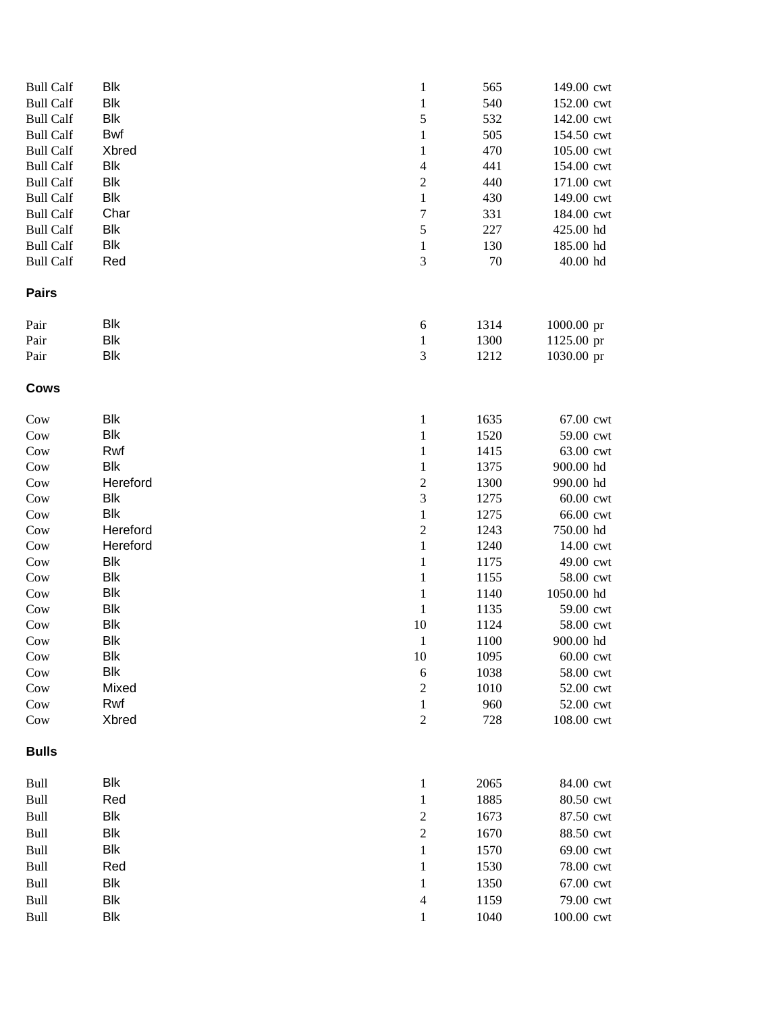| <b>Bull Calf</b> | <b>Blk</b>   | $\mathbf{1}$               | 565        | 149.00 cwt              |
|------------------|--------------|----------------------------|------------|-------------------------|
| <b>Bull Calf</b> | <b>Blk</b>   | $\mathbf{1}$               | 540        | 152.00 cwt              |
| <b>Bull Calf</b> | <b>Blk</b>   | 5                          | 532        | 142.00 cwt              |
| <b>Bull Calf</b> | Bwf          | $\mathbf{1}$               | 505        | 154.50 cwt              |
| <b>Bull Calf</b> | <b>Xbred</b> | $\mathbf{1}$               | 470        | 105.00 cwt              |
| <b>Bull Calf</b> | Blk          | $\overline{\mathcal{A}}$   | 441        | 154.00 cwt              |
| <b>Bull Calf</b> | <b>Blk</b>   | $\mathbf{2}$               | 440        | 171.00 cwt              |
| <b>Bull Calf</b> | Blk          | $\mathbf{1}$               | 430        | 149.00 cwt              |
| <b>Bull Calf</b> | Char         | $\boldsymbol{7}$           | 331        | 184.00 cwt              |
| <b>Bull Calf</b> | Blk          | $\sqrt{5}$                 | 227        | 425.00 hd               |
| <b>Bull Calf</b> | <b>Blk</b>   | $\mathbf{1}$               | 130        | 185.00 hd               |
| <b>Bull Calf</b> | Red          | 3                          | $70\,$     | 40.00 hd                |
| <b>Pairs</b>     |              |                            |            |                         |
| Pair             | <b>Blk</b>   | $\boldsymbol{6}$           | 1314       | 1000.00 pr              |
| Pair             | <b>Blk</b>   | $\mathbf{1}$               | 1300       | 1125.00 pr              |
| Pair             | <b>Blk</b>   | 3                          | 1212       | 1030.00 pr              |
| <b>Cows</b>      |              |                            |            |                         |
| Cow              | <b>Blk</b>   | $\mathbf{1}$               | 1635       | 67.00 cwt               |
| Cow              | <b>Blk</b>   | $\mathbf{1}$               | 1520       | 59.00 cwt               |
| Cow              | Rwf          | 1                          | 1415       | 63.00 cwt               |
| Cow              | <b>Blk</b>   | 1                          | 1375       | 900.00 hd               |
| Cow              | Hereford     | $\overline{\mathbf{c}}$    | 1300       | 990.00 hd               |
| Cow              | <b>Blk</b>   | 3                          | 1275       | 60.00 cwt               |
| Cow              | <b>Blk</b>   | $\mathbf{1}$               | 1275       | 66.00 cwt               |
| Cow              | Hereford     | $\sqrt{2}$                 | 1243       | 750.00 hd               |
| Cow              | Hereford     | $\,1$                      | 1240       | 14.00 cwt               |
| Cow              | <b>Blk</b>   | $\mathbf{1}$               | 1175       | 49.00 cwt               |
| Cow              | <b>Blk</b>   | $\mathbf{1}$               | 1155       | 58.00 cwt               |
| Cow              | <b>Blk</b>   | $\mathbf{1}$               | 1140       | 1050.00 hd              |
| Cow              | <b>Blk</b>   | $\mathbf{1}$               | 1135       | 59.00 cwt               |
| Cow              | <b>Blk</b>   | 10                         | 1124       | 58.00 cwt               |
| Cow              | <b>Blk</b>   | $\mathbf{1}$               | 1100       | 900.00 hd               |
| Cow              | Blk          | 10                         | 1095       | $60.00$ cwt             |
| Cow              | <b>Blk</b>   | 6                          | 1038       | 58.00 cwt               |
| Cow              | Mixed        | $\sqrt{2}$                 | 1010       | 52.00 cwt               |
| Cow<br>Cow       | Rwf<br>Xbred | $\mathbf{1}$<br>$\sqrt{2}$ | 960<br>728 | 52.00 cwt<br>108.00 cwt |
| <b>Bulls</b>     |              |                            |            |                         |
| Bull             | <b>Blk</b>   | $\mathbf{1}$               | 2065       | 84.00 cwt               |
| Bull             | Red          | $\mathbf{1}$               | 1885       | 80.50 cwt               |
| Bull             | <b>Blk</b>   | $\overline{c}$             | 1673       | 87.50 cwt               |
| Bull             | <b>Blk</b>   | $\overline{c}$             | 1670       | 88.50 cwt               |
|                  | Blk          |                            |            |                         |
| Bull             |              | $\mathbf{1}$               | 1570       | 69.00 cwt               |
| Bull             | Red          | 1                          | 1530       | 78.00 cwt               |
| Bull             | Blk          | $\mathbf{1}$               | 1350       | 67.00 cwt               |
| Bull             | <b>Blk</b>   | $\overline{\mathcal{A}}$   | 1159       | 79.00 cwt               |
| Bull             | <b>Blk</b>   | $\mathbf{1}$               | 1040       | 100.00 cwt              |